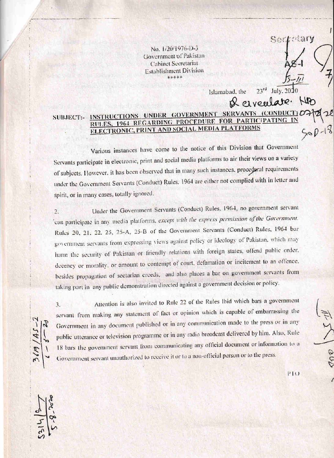No. 1/20/1976-D-3 Government of Pakistan **Cabinet Secretariat Establishment Division** \*\*\*\*\*

INSTRUCTIONS UNDER GOVERNMENT SERVANTS  $(CONDUCT)$   $D<sup>c</sup>$ SUBJECT:-RULES, 1964 REGARDING PROCEDURE FOR PARTICIPATING IN **ELECTRONIC, PRINT AND SOCIAL MEDIA PLATFORMS** 

Various instances have come to the notice of this Division that Government Servants participate in electronic, print and social media platforms to air their views on a variety of subjects. However, it has been observed that in many such instances, procedural requirements under the Government Servants (Conduct) Rules. 1964 are either not complied with in letter and spirit, or in many cases, totally ignored.

Under the Government Servants (Conduct) Rules, 1964, no government servant  $2.$ can participate in any media platforms, except with the express permission of the Government. Rules 20, 21, 22, 25, 25-A, 25-B of the Government Servants (Conduct) Rules, 1964 bar government servants from expressing views against policy or ideology of Pakistan, which may harm the security of Pakistan or friendly relations with foreign states, offend public order. decency or morality, or amount to contempt of court, defamation or incitement to an offence, besides propagation of sectarian creeds, and also places a bar on government servants from taking part in any public demonstration directed against a government decision or policy.

 $145-$ 

Attention is also invited to Rule 22 of the Rules Ibid which bars a government 3. servant from making any statement of fact or opinion which is capable of embarrassing the Government in any document published or in any communication made to the press or in any public utterance or television programme or in any radio broadcast delivered by him. Also, Rule 18 bars the government servant from communicating any official document or information to a Government servant unauthorized to receive it or to a non-official person or to the press.

 $P10$ 

 $960$ 

tarv

 $Mn$ 

**Redar** 

July, 2010

 $23<sup>rd</sup>$ 

& eiveulare.

Islamabad, the